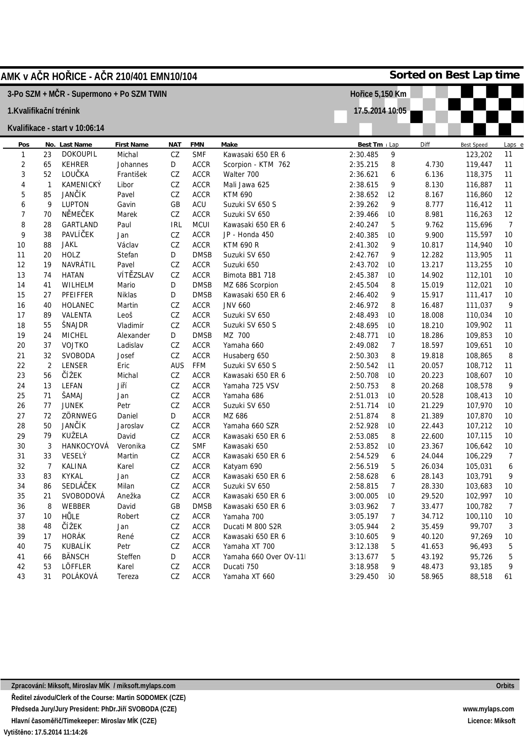| AMK v A <b>Č</b> R HO <b>Ř</b> ICE - A <b>Č</b> R 210/401 EMN10/104 |              |                                |                    |            |                            |                                 | Sorted on Best Lap time |                 |                  |                    |                |  |
|---------------------------------------------------------------------|--------------|--------------------------------|--------------------|------------|----------------------------|---------------------------------|-------------------------|-----------------|------------------|--------------------|----------------|--|
| 3-Po SZM + MČR - Supermono + Po SZM TWIN                            |              |                                |                    |            |                            |                                 | Hořice 5,150 Km         |                 |                  |                    |                |  |
| 1.Kvalifikační trénink                                              |              |                                |                    |            |                            |                                 | 17.5.2014 10:05         |                 |                  |                    |                |  |
|                                                                     |              |                                |                    |            |                            |                                 |                         |                 |                  |                    |                |  |
|                                                                     |              | Kvalifikace - start v 10:06:14 |                    |            |                            |                                 |                         |                 |                  |                    |                |  |
| Pos                                                                 |              | No. Last Name                  | <b>First Name</b>  | <b>NAT</b> | <b>FMN</b>                 | Make                            | Best Tm Lap             |                 | Diff             | <b>Best Speed</b>  | Laps e         |  |
| 1                                                                   | 23           | <b>DOKOUPIL</b>                | Michal             | ${\tt CZ}$ | <b>SMF</b>                 | Kawasaki 650 ER 6               | 2:30.485                | 9               |                  | 123,202            | 11             |  |
| 2                                                                   | 65           | KEHRER                         | Johannes           | D          | <b>ACCR</b>                | Scorpion - KTM 762              | 2:35.215                | 8               | 4.730            | 119,447            | 11             |  |
| 3                                                                   | 52           | LOUČKA                         | František          | ${\tt CZ}$ | <b>ACCR</b>                | Walter 700                      | 2:36.621                | 6               | 6.136            | 118,375            | 11             |  |
| $\overline{4}$                                                      | $\mathbf{1}$ | KAMENICKÝ                      | Libor              | ${\tt CZ}$ | <b>ACCR</b>                | Mali Jawa 625                   | 2:38.615                | 9               | 8.130            | 116,887            | 11             |  |
| 5                                                                   | 85           | JANČÍK                         | Pavel              | CZ         | <b>ACCR</b>                | <b>KTM 690</b>                  | 2:38.652                | 12              | 8.167            | 116,860            | 12             |  |
| 6                                                                   | 9            | <b>LUPTON</b>                  | Gavin              | GB         | ACU                        | Suzuki SV 650 S                 | 2:39.262                | 9               | 8.777            | 116,412            | 11             |  |
| 7                                                                   | 70           | <b>NĚMEČEK</b>                 | Marek              | CZ         | <b>ACCR</b>                | Suzuki SV 650                   | 2:39.466                | 10              | 8.981            | 116,263            | 12             |  |
| 8                                                                   | 28           | GARTLAND                       | Paul               | <b>IRL</b> | MCUI                       | Kawasaki 650 ER 6               | 2:40.247                | 5               | 9.762            | 115,696            | $\overline{7}$ |  |
| 9                                                                   | 38           | PAVLÍČEK                       | Jan                | CZ         | <b>ACCR</b>                | JP - Honda 450                  | 2:40.385                | 10              | 9.900            | 115,597            | 10             |  |
| 10                                                                  | 88           | <b>JAKL</b>                    | Václav             | CZ         | <b>ACCR</b>                | <b>KTM 690 R</b>                | 2:41.302                | 9               | 10.817           | 114,940            | 10             |  |
| 11                                                                  | 20           | <b>HOLZ</b>                    | Stefan             | D          | <b>DMSB</b>                | Suzuki SV 650                   | 2:42.767                | 9               | 12.282           | 113,905            | 11             |  |
| 12                                                                  | 19           | NAVRÁTIL                       | Pavel              | CZ         | <b>ACCR</b>                | Suzuki 650                      | 2:43.702                | 10              | 13.217           | 113,255            | 10             |  |
| 13                                                                  | 74           | <b>HATAN</b>                   | VÍTĚZSLAV          | CZ         | <b>ACCR</b>                | Bimota BB1 718                  | 2:45.387                | 10              | 14.902           | 112,101            | 10             |  |
| 14                                                                  | 41           | WILHELM                        | Mario              | D          | <b>DMSB</b>                | MZ 686 Scorpion                 | 2:45.504                | 8               | 15.019           | 112,021            | 10             |  |
| 15                                                                  | 27           | PFEIFFER                       | Niklas             | D          | <b>DMSB</b>                | Kawasaki 650 ER 6               | 2:46.402                | 9               | 15.917           | 111,417            | 10             |  |
| 16                                                                  | 40           | <b>HOLANEC</b>                 | Martin             | CZ         | <b>ACCR</b>                | <b>JNV 660</b>                  | 2:46.972                | 8               | 16.487           | 111,037            | 9              |  |
| 17                                                                  | 89           | VALENTA                        | Leoš               | CZ         | <b>ACCR</b>                | Suzuki SV 650                   | 2:48.493                | 10              | 18.008           | 110,034            | 10             |  |
| 18                                                                  | 55           | ŠNAJDR                         | Vladimír           | CZ         | <b>ACCR</b>                | Suzuki SV 650 S                 | 2:48.695                | 10              | 18.210           | 109,902            | 11             |  |
| 19                                                                  | 24           | <b>MICHEL</b>                  | Alexander          | D          | <b>DMSB</b>                | MZ 700                          | 2:48.771                | 10              | 18.286           | 109,853            | 10             |  |
| 20                                                                  | 37           | <b>VOJTKO</b>                  | Ladislav           | CZ         | <b>ACCR</b>                | Yamaha 660                      | 2:49.082                | $\overline{7}$  | 18.597           | 109,651            | 10             |  |
| 21                                                                  | 32           | SVOBODA                        | Josef              | CZ         | <b>ACCR</b>                | Husaberg 650                    | 2:50.303                | 8               | 19.818           | 108,865            | 8              |  |
| 22                                                                  | 2            | LENSER<br>ČÍŽEK                | Eric               | <b>AUS</b> | FFM                        | Suzuki SV 650 S                 | 2:50.542                | 1               | 20.057           | 108,712            | 11             |  |
| 23                                                                  | 56           |                                | Michal<br>Jiří     | CZ         | <b>ACCR</b>                | Kawasaki 650 ER 6               | 2:50.708                | 10              | 20.223           | 108,607            | 10             |  |
| 24<br>25                                                            | 13<br>71     | LEFAN<br>ŠAMAJ                 |                    | CZ         | <b>ACCR</b>                | Yamaha 725 VSV                  | 2:50.753                | 8               | 20.268           | 108,578            | 9<br>10        |  |
|                                                                     |              | <b>JUNEK</b>                   | Jan                | CZ         | <b>ACCR</b>                | Yamaha 686                      | 2:51.013<br>2:51.714    | 10              | 20.528           | 108,413            |                |  |
| 26                                                                  | 77           | ZÖRNWEG                        | Petr               | CZ         | <b>ACCR</b>                | Suzuki SV 650                   |                         | 10              | 21.229           | 107,970<br>107,870 | 10             |  |
| 27<br>28                                                            | 72<br>50     | JANČÍK                         | Daniel<br>Jaroslav | D<br>CZ    | <b>ACCR</b><br><b>ACCR</b> | MZ 686<br>Yamaha 660 SZR        | 2:51.874                | 8               | 21.389           |                    | 10<br>10       |  |
|                                                                     |              | KUŽELA                         |                    |            |                            |                                 | 2:52.928                | $\overline{10}$ | 22.443           | 107,212            |                |  |
| 29<br>30                                                            | 79<br>3      | HANKOCYOVÁ                     | David<br>Veronika  | CZ<br>CZ   | <b>ACCR</b><br><b>SMF</b>  | Kawasaki 650 ER 6               | 2:53.085<br>2:53.852    | 8<br>10         | 22.600<br>23.367 | 107,115<br>106,642 | 10<br>$10$     |  |
|                                                                     |              | VESELÝ                         |                    | CZ         | <b>ACCR</b>                | Kawasaki 650                    |                         |                 |                  | 106,229            |                |  |
| 31<br>32                                                            | 33           | KALINA                         | Martin<br>Karel    | CZ         | <b>ACCR</b>                | Kawasaki 650 ER 6<br>Katyam 690 | 2:54.529<br>2:56.519    | 6<br>5          | 24.044<br>26.034 | 105,031            | 7              |  |
| 33                                                                  | 7<br>83      | <b>KYKAL</b>                   | Jan                | ${\tt CZ}$ | ACCR                       | Kawasaki 650 ER 6               | 2:58.628                |                 | 28.143           | 103,791            | 6<br>9         |  |
| 34                                                                  | 86           | SEDLÁČEK                       | Milan              | ${\tt CZ}$ | <b>ACCR</b>                | Suzuki SV 650                   | 2:58.815                | 6<br>7          | 28.330           | 103,683            | 10             |  |
| 35                                                                  | 21           | SVOBODOVÁ                      | Anežka             | ${\tt CZ}$ | <b>ACCR</b>                | Kawasaki 650 ER 6               | 3:00.005                | 10              | 29.520           | 102,997            | 10             |  |
| 36                                                                  | 8            | WEBBER                         | David              | GB         | <b>DMSB</b>                | Kawasaki 650 ER 6               | 3:03.962                |                 | 33.477           | 100,782            |                |  |
| 37                                                                  | 10           | HŮLE                           | Robert             | CZ         | <b>ACCR</b>                | Yamaha 700                      | 3:05.197                | 7<br>7          | 34.712           | 100,110            | 7<br>10        |  |
| 38                                                                  | 48           | ČÍŽEK                          | Jan                | ${\tt CZ}$ | <b>ACCR</b>                | Ducati M 800 S2R                | 3:05.944                | 2               | 35.459           | 99,707             | 3              |  |
| 39                                                                  | 17           | <b>HORÁK</b>                   | René               | ${\tt CZ}$ | <b>ACCR</b>                | Kawasaki 650 ER 6               | 3:10.605                | 9               | 40.120           | 97,269             | 10             |  |
| 40                                                                  | 75           | KUBALÍK                        | Petr               | CZ         | <b>ACCR</b>                | Yamaha XT 700                   | 3:12.138                | 5               | 41.653           | 96,493             | 5              |  |
| 41                                                                  | 66           | <b>BÄNSCH</b>                  | Steffen            | D          | <b>ACCR</b>                | Yamaha 660 Over OV-11           | 3:13.677                | 5               | 43.192           | 95,726             | 5              |  |
| 42                                                                  | 53           | LÖFFLER                        | Karel              | CZ         | <b>ACCR</b>                | Ducati 750                      | 3:18.958                | 9               | 48.473           | 93,185             | 9              |  |
| 43                                                                  | 31           | POLÁKOVÁ                       | Tereza             | CZ         | <b>ACCR</b>                | Yamaha XT 660                   | 3:29.450                | 5Ο              | 58.965           | 88,518             | 61             |  |
|                                                                     |              |                                |                    |            |                            |                                 |                         |                 |                  |                    |                |  |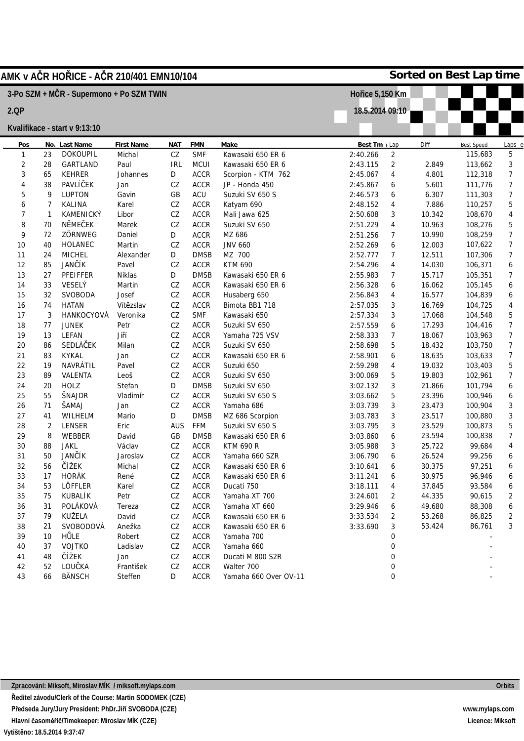| AMK v A <b>Č</b> R HO <b>Ř</b> ICE - A <b>Č</b> R 210/401 EMN10/104 |    |                               |                   |            |                          |                       | Sorted on Best Lap time |                |                   |         |                    |  |
|---------------------------------------------------------------------|----|-------------------------------|-------------------|------------|--------------------------|-----------------------|-------------------------|----------------|-------------------|---------|--------------------|--|
| 3-Po SZM + MČR - Supermono + Po SZM TWIN                            |    |                               |                   |            |                          |                       | Hořice 5,150 Km         |                |                   |         |                    |  |
| 2.QP                                                                |    |                               |                   |            |                          | 18.5.2014 09:10       |                         |                |                   |         |                    |  |
|                                                                     |    | Kvalifikace - start v 9:13:10 |                   |            |                          |                       |                         |                |                   |         |                    |  |
| Pos                                                                 |    | No. Last Name                 | <b>First Name</b> | <b>NAT</b> | Make                     | Best Tm Lap           |                         | Diff           | <b>Best Speed</b> |         |                    |  |
| 1                                                                   | 23 | <b>DOKOUPIL</b>               | Michal            | ${\tt CZ}$ | <b>FMN</b><br><b>SMF</b> | Kawasaki 650 ER 6     | 2:40.266                | 2              |                   | 115,683 | <u>Laps e</u><br>5 |  |
| 2                                                                   | 28 | GARTLAND                      | Paul              | <b>IRL</b> | MCUI                     | Kawasaki 650 ER 6     | 2:43.115                | $\overline{2}$ | 2.849             | 113,662 | 3                  |  |
| 3                                                                   | 65 | <b>KEHRER</b>                 | Johannes          | D          | <b>ACCR</b>              | Scorpion - KTM 762    | 2:45.067                | 4              | 4.801             | 112,318 | 7                  |  |
| 4                                                                   | 38 | PAVLÍČEK                      | Jan               | ${\tt CZ}$ | <b>ACCR</b>              | JP - Honda 450        | 2:45.867                | 6              | 5.601             | 111,776 | $\overline{7}$     |  |
| 5                                                                   | 9  | <b>LUPTON</b>                 | Gavin             | GB         | ACU                      | Suzuki SV 650 S       | 2:46.573                | 6              | 6.307             | 111,303 | $\overline{7}$     |  |
| 6                                                                   | 7  | KALINA                        | Karel             | ${\tt CZ}$ | <b>ACCR</b>              | Katyam 690            | 2:48.152                | 4              | 7.886             | 110,257 | 5                  |  |
| 7                                                                   | 1  | KAMENICKÝ                     | Libor             | CZ         | <b>ACCR</b>              | Mali Jawa 625         | 2:50.608                | 3              | 10.342            | 108,670 | 4                  |  |
| 8                                                                   | 70 | NĚMEČEK                       | Marek             | CZ         | <b>ACCR</b>              | Suzuki SV 650         | 2:51.229                | 4              | 10.963            | 108,276 | 5                  |  |
| 9                                                                   | 72 | ZÖRNWEG                       | Daniel            | D          | <b>ACCR</b>              | MZ 686                | 2:51.256                | 7              | 10.990            | 108,259 | $\overline{7}$     |  |
| 10                                                                  | 40 | HOLANEC                       | Martin            | CZ         | <b>ACCR</b>              | <b>JNV 660</b>        | 2:52.269                | 6              | 12.003            | 107,622 | $\overline{7}$     |  |
| 11                                                                  | 24 | <b>MICHEL</b>                 | Alexander         | D          | <b>DMSB</b>              | MZ 700                | 2:52.777                | 7              | 12.511            | 107,306 | 7                  |  |
| 12                                                                  | 85 | JANČÍK                        | Pavel             | CZ         | <b>ACCR</b>              | <b>KTM 690</b>        | 2:54.296                | 4              | 14.030            | 106,371 | 6                  |  |
| 13                                                                  | 27 | PFEIFFER                      | Niklas            | D          | <b>DMSB</b>              | Kawasaki 650 ER 6     | 2:55.983                | 7              | 15.717            | 105,351 | 7                  |  |
| 14                                                                  | 33 | VESELÝ                        | Martin            | ${\tt CZ}$ | <b>ACCR</b>              | Kawasaki 650 ER 6     | 2:56.328                | 6              | 16.062            | 105,145 | 6                  |  |
| 15                                                                  | 32 | SVOBODA                       | Josef             | CZ         | <b>ACCR</b>              | Husaberg 650          | 2:56.843                | 4              | 16.577            | 104,839 | 6                  |  |
| 16                                                                  | 74 | <b>HATAN</b>                  | Vítězslav         | ${\tt CZ}$ | <b>ACCR</b>              | Bimota BB1 718        | 2:57.035                | 3              | 16.769            | 104,725 | 4                  |  |
| 17                                                                  | 3  | HANKOCYOVÁ                    | Veronika          | ${\tt CZ}$ | <b>SMF</b>               | Kawasaki 650          | 2:57.334                | 3              | 17.068            | 104,548 | 5                  |  |
| 18                                                                  | 77 | <b>JUNEK</b>                  | Petr              | ${\tt CZ}$ | <b>ACCR</b>              | Suzuki SV 650         | 2:57.559                | 6              | 17.293            | 104,416 | $\overline{7}$     |  |
| 19                                                                  | 13 | LEFAN                         | Jiří              | ${\tt CZ}$ | <b>ACCR</b>              | Yamaha 725 VSV        | 2:58.333                | 7              | 18.067            | 103,963 | 7                  |  |
| 20                                                                  | 86 | SEDLÁČEK                      | Milan             | CZ         | <b>ACCR</b>              | Suzuki SV 650         | 2:58.698                | 5              | 18.432            | 103,750 | 7                  |  |
| 21                                                                  | 83 | <b>KYKAL</b>                  | Jan               | CZ         | <b>ACCR</b>              | Kawasaki 650 ER 6     | 2:58.901                | 6              | 18.635            | 103,633 | $\overline{7}$     |  |
| 22                                                                  | 19 | NAVRÁTIL                      | Pavel             | CZ         | <b>ACCR</b>              | Suzuki 650            | 2:59.298                | 4              | 19.032            | 103,403 | 5                  |  |
| 23                                                                  | 89 | VALENTA                       | Leoš              | CZ         | <b>ACCR</b>              | Suzuki SV 650         | 3:00.069                | 5              | 19.803            | 102,961 | $\boldsymbol{7}$   |  |
| 24                                                                  | 20 | <b>HOLZ</b>                   | Stefan            | D          | <b>DMSB</b>              | Suzuki SV 650         | 3:02.132                | 3              | 21.866            | 101,794 | 6                  |  |
| 25                                                                  | 55 | ŠNAJDR                        | Vladimír          | ${\tt CZ}$ | <b>ACCR</b>              | Suzuki SV 650 S       | 3:03.662                | 5              | 23.396            | 100,946 | 6                  |  |
| 26                                                                  | 71 | ŠAMAJ                         | Jan               | CZ         | <b>ACCR</b>              | Yamaha 686            | 3:03.739                | 3              | 23.473            | 100,904 | 3                  |  |
| 27                                                                  | 41 | WILHELM                       | Mario             | D          | <b>DMSB</b>              | MZ 686 Scorpion       | 3:03.783                | 3              | 23.517            | 100,880 | 3                  |  |
| 28                                                                  | 2  | LENSER                        | Eric              | <b>AUS</b> | FFM                      | Suzuki SV 650 S       | 3:03.795                | 3              | 23.529            | 100,873 | 5                  |  |
| 29                                                                  | 8  | WEBBER                        | David             | GB         | <b>DMSB</b>              | Kawasaki 650 ER 6     | 3:03.860                | 6              | 23.594            | 100,838 | 7                  |  |
| 30                                                                  | 88 | <b>JAKL</b>                   | Václav            | CZ         | <b>ACCR</b>              | <b>KTM 690 R</b>      | 3:05.988                | 3              | 25.722            | 99,684  | 4                  |  |
| 31                                                                  | 50 | JANČÍK                        | Jaroslav          | CZ         | <b>ACCR</b>              | Yamaha 660 SZR        | 3:06.790                | 6              | 26.524            | 99,256  | 6                  |  |
| 32                                                                  | 56 | ČÍŽEK                         | Michal            | CZ         | <b>ACCR</b>              | Kawasaki 650 ER 6     | 3:10.641                | 6              | 30.375            | 97,251  | 6                  |  |
| 33                                                                  | 17 | HORÁK                         | René              | ${\tt CZ}$ | <b>ACCR</b>              | Kawasaki 650 ER 6     | 3:11.241                | 6              | 30.975            | 96,946  | 6                  |  |
| 34                                                                  | 53 | LÖFFLER                       | Karel             | ${\tt CZ}$ | <b>ACCR</b>              | Ducati 750            | 3:18.111                | 4              | 37.845            | 93,584  | 6                  |  |
| 35                                                                  | 75 | KUBALÍK                       | Petr              | CZ         | <b>ACCR</b>              | Yamaha XT 700         | 3:24.601                | 2              | 44.335            | 90,615  | 2                  |  |
| 36                                                                  | 31 | POLÁKOVÁ                      | Tereza            | CZ         | <b>ACCR</b>              | Yamaha XT 660         | 3:29.946                | 6              | 49.680            | 88,308  | 6                  |  |
| 37                                                                  | 79 | KUŽELA                        | David             | ${\tt CZ}$ | <b>ACCR</b>              | Kawasaki 650 ER 6     | 3:33.534                | 2              | 53.268            | 86,825  | 2                  |  |
| 38                                                                  | 21 | SVOBODOVÁ                     | Anežka            | CZ         | <b>ACCR</b>              | Kawasaki 650 ER 6     | 3:33.690                | 3              | 53.424            | 86,761  | 3                  |  |
| 39                                                                  | 10 | HŮLE                          | Robert            | ${\tt CZ}$ | <b>ACCR</b>              | Yamaha 700            |                         | 0              |                   |         |                    |  |
| 40                                                                  | 37 | <b>VOJTKO</b>                 | Ladislav          | CZ         | <b>ACCR</b>              | Yamaha 660            |                         | 0              |                   |         |                    |  |
| 41                                                                  | 48 | ČÍŽEK                         | Jan               | CZ         | <b>ACCR</b>              | Ducati M 800 S2R      |                         | 0              |                   |         |                    |  |
| 42                                                                  | 52 | LOUČKA                        | František         | ${\tt CZ}$ | <b>ACCR</b>              | Walter 700            |                         | 0              |                   |         |                    |  |
| 43                                                                  | 66 | <b>BÄNSCH</b>                 | Steffen           | D          | <b>ACCR</b>              | Yamaha 660 Over OV-11 |                         | 0              |                   |         |                    |  |
|                                                                     |    |                               |                   |            |                          |                       |                         |                |                   |         |                    |  |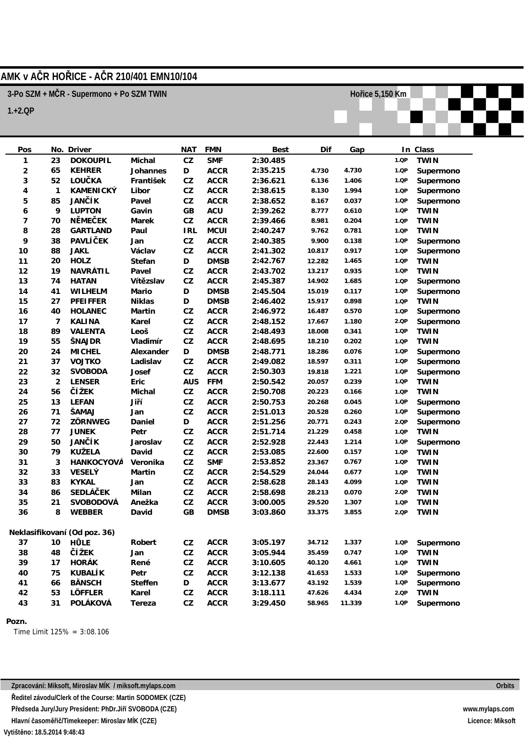## **AMK v AČR HOŘICE - AČR 210/401 EMN10/104**

**3-Po SZM + MČR - Supermono + Po SZM TWIN**

**1.+2.QP**

| Pos                          |                | No. Driver      |           | <b>NAT</b>  | <b>FMN</b>  | Best     | Dif    | Gap    |      | In Class    |
|------------------------------|----------------|-----------------|-----------|-------------|-------------|----------|--------|--------|------|-------------|
| 1                            | 23             | <b>DOKOUPIL</b> | Michal    | CZ          | <b>SMF</b>  | 2:30.485 |        |        | 1.QP | <b>TWIN</b> |
| $\overline{\mathbf{c}}$      | 65             | <b>KEHRER</b>   | Johannes  | D           | ACCR        | 2:35.215 | 4.730  | 4.730  | 1.QP | Supermono   |
| 3                            | 52             | LOU <b>Č</b> KA | František | ${\tt CZ}$  | <b>ACCR</b> | 2:36.621 | 6.136  | 1.406  | 1.QP | Supermono   |
| 4                            | $\mathbf{1}$   | KAMENICKÝ       | Libor     | ${\tt CZ}$  | <b>ACCR</b> | 2:38.615 | 8.130  | 1.994  | 1.QP | Supermono   |
| 5                            | 85             | <b>JANČÍK</b>   | Pavel     | ${\tt CZ}$  | <b>ACCR</b> | 2:38.652 | 8.167  | 0.037  | 1.QP | Supermono   |
| 6                            | 9              | <b>LUPTON</b>   | Gavin     | GB          | <b>ACU</b>  | 2:39.262 | 8.777  | 0.610  | 1.QP | <b>TWIN</b> |
| 7                            | 70             | NĚMEČEK         | Marek     | ${\tt CZ}$  | ACCR        | 2:39.466 | 8.981  | 0.204  | 1.QP | <b>TWIN</b> |
| 8                            | 28             | GARTLAND        | Paul      | <b>IRL</b>  | MCUI        | 2:40.247 | 9.762  | 0.781  | 1.QP | <b>TWIN</b> |
| 9                            | 38             | <b>PAVLÍČEK</b> | Jan       | ${\tt CZ}$  | <b>ACCR</b> | 2:40.385 | 9.900  | 0.138  | 1.QP | Supermono   |
| $10$                         | 88             | <b>JAKL</b>     | Václav    | ${\tt CZ}$  | ACCR        | 2:41.302 | 10.817 | 0.917  | 1.QP | Supermono   |
| 11                           | 20             | <b>HOLZ</b>     | Stefan    | D           | <b>DMSB</b> | 2:42.767 | 12.282 | 1.465  | 1.QP | <b>TWIN</b> |
| 12                           | 19             | NAVRÁTIL        | Pavel     | ${\tt CZ}$  | ACCR        | 2:43.702 | 13.217 | 0.935  | 1.QP | <b>TWIN</b> |
| 13                           | 74             | <b>HATAN</b>    | Vítězslav | ${\tt CZ}$  | <b>ACCR</b> | 2:45.387 | 14.902 | 1.685  | 1.QP | Supermono   |
| 14                           | 41             | WILHELM         | Mario     | $\mathsf D$ | <b>DMSB</b> | 2:45.504 | 15.019 | 0.117  | 1.QP | Supermono   |
| 15                           | 27             | PFEIFFER        | Niklas    | $\mathsf D$ | <b>DMSB</b> | 2:46.402 | 15.917 | 0.898  | 1.QP | <b>TWIN</b> |
| 16                           | 40             | HOLANEC         | Martin    | CZ          | <b>ACCR</b> | 2:46.972 | 16.487 | 0.570  | 1.QP | Supermono   |
| 17                           | $\overline{7}$ | <b>KALINA</b>   | Karel     | ${\tt CZ}$  | ACCR        | 2:48.152 | 17.667 | 1.180  | 2.QP | Supermono   |
| 18                           | 89             | VALENTA         | Leoš      | ${\tt CZ}$  | <b>ACCR</b> | 2:48.493 | 18.008 | 0.341  | 1.QP | <b>TWIN</b> |
| 19                           | 55             | ŠNAJDR          | Vladimír  | ${\tt CZ}$  | <b>ACCR</b> | 2:48.695 | 18.210 | 0.202  | 1.QP | <b>TWIN</b> |
| 20                           | 24             | <b>MICHEL</b>   | Alexander | D           | <b>DMSB</b> | 2:48.771 | 18.286 | 0.076  | 1.QP | Supermono   |
| 21                           | 37             | VOJTKO          | Ladislav  | ${\tt CZ}$  | <b>ACCR</b> | 2:49.082 | 18.597 | 0.311  | 1.QP | Supermono   |
| 22                           | 32             | SVOBODA         | Josef     | ${\tt CZ}$  | ACCR        | 2:50.303 | 19.818 | 1.221  | 1.QP | Supermono   |
| 23                           | $\overline{2}$ | LENSER          | Eric      | <b>AUS</b>  | <b>FFM</b>  | 2:50.542 | 20.057 | 0.239  | 1.QP | <b>TWIN</b> |
| 24                           | 56             | <b>Č</b> Í ŽEK  | Michal    | CZ          | <b>ACCR</b> | 2:50.708 | 20.223 | 0.166  | 1.QP | <b>TWIN</b> |
| 25                           | 13             | LEFAN           | Jiří      | ${\tt CZ}$  | ACCR        | 2:50.753 | 20.268 | 0.045  | 1.QP | Supermono   |
| 26                           | 71             | ŠAMAJ           | Jan       | ${\tt CZ}$  | <b>ACCR</b> | 2:51.013 | 20.528 | 0.260  | 1.QP | Supermono   |
| 27                           | 72             | ZÖRNWEG         | Daniel    | D           | <b>ACCR</b> | 2:51.256 | 20.771 | 0.243  | 2.QP | Supermono   |
| 28                           | 77             | JUNEK           | Petr      | ${\tt CZ}$  | <b>ACCR</b> | 2:51.714 | 21.229 | 0.458  | 1.QP | <b>TWIN</b> |
| 29                           | 50             | <b>JANČÍK</b>   | Jaroslav  | CZ          | <b>ACCR</b> | 2:52.928 | 22.443 | 1.214  | 1.QP | Supermono   |
| 30                           | 79             | KUŽELA          | David     | ${\tt CZ}$  | <b>ACCR</b> | 2:53.085 | 22.600 | 0.157  | 1.QP | <b>TWIN</b> |
| 31                           | 3              | HANKOCYOVÁ      | Veronika  | ${\tt CZ}$  | <b>SMF</b>  | 2:53.852 | 23.367 | 0.767  | 1.QP | <b>TWIN</b> |
| 32                           | 33             | VESELÝ          | Martin    | ${\tt CZ}$  | ACCR        | 2:54.529 | 24.044 | 0.677  | 1.QP | <b>TWIN</b> |
| 33                           | 83             | <b>KYKAL</b>    | Jan       | ${\tt CZ}$  | ACCR        | 2:58.628 | 28.143 | 4.099  | 1.QP | <b>TWIN</b> |
| 34                           | 86             | <b>SEDLÁČEK</b> | Milan     | ${\tt CZ}$  | <b>ACCR</b> | 2:58.698 | 28.213 | 0.070  | 2.QP | <b>TWIN</b> |
| 35                           | 21             | SVOBODOVÁ       | Anežka    | ${\tt CZ}$  | <b>ACCR</b> | 3:00.005 | 29.520 | 1.307  | 1.QP | <b>TWIN</b> |
| 36                           | 8              | WEBBER          | David     | GB          | <b>DMSB</b> | 3:03.860 | 33.375 | 3.855  | 2.QP | <b>TWIN</b> |
|                              |                |                 |           |             |             |          |        |        |      |             |
| Neklasifikovaní (Od poz. 36) |                |                 |           |             |             |          |        |        |      |             |
| 37                           | 10             | HŮLE            | Robert    | CZ          | ACCR        | 3:05.197 | 34.712 | 1.337  | 1.QP | Supermono   |
| 38                           | 48             | <b>Č</b> Í ŽEK  | Jan       | ${\tt CZ}$  | <b>ACCR</b> | 3:05.944 | 35.459 | 0.747  | 1.QP | <b>TWIN</b> |
| 39                           | 17             | HORÁK           | René      | CZ          | ACCR        | 3:10.605 | 40.120 | 4.661  | 1.QP | <b>TWIN</b> |
| 40                           | 75             | KUBALÍK         | Petr      | CZ          | ACCR        | 3:12.138 | 41.653 | 1.533  | 1.QP | Supermono   |
| 41                           | 66             | <b>BÄNSCH</b>   | Steffen   | D           | ACCR        | 3:13.677 | 43.192 | 1.539  | 1.QP | Supermono   |
| 42                           | 53             | LÖFFLER         | Karel     | ${\tt CZ}$  | ACCR        | 3:18.111 | 47.626 | 4.434  | 2.QP | <b>TWIN</b> |
| 43                           | 31             | POLÁKOVÁ        | Tereza    | CZ          | ACCR        | 3:29.450 | 58.965 | 11.339 | 1.QP | Supermono   |

**Pozn.**

Time Limit 125% = 3:08.106

**Hořice 5,150 Km**